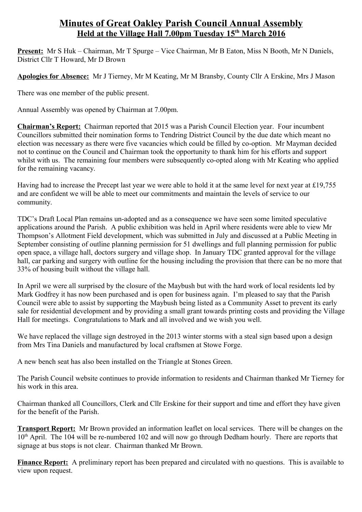## **Minutes of Great Oakley Parish Council Annual Assembly Held at the Village Hall 7.00pm Tuesday 15th March 2016**

**Present:** Mr S Huk – Chairman, Mr T Spurge – Vice Chairman, Mr B Eaton, Miss N Booth, Mr N Daniels, District Cllr T Howard, Mr D Brown

**Apologies for Absence:** Mr J Tierney, Mr M Keating, Mr M Bransby, County Cllr A Erskine, Mrs J Mason

There was one member of the public present.

Annual Assembly was opened by Chairman at 7.00pm.

**Chairman's Report:** Chairman reported that 2015 was a Parish Council Election year. Four incumbent Councillors submitted their nomination forms to Tendring District Council by the due date which meant no election was necessary as there were five vacancies which could be filled by co-option. Mr Mayman decided not to continue on the Council and Chairman took the opportunity to thank him for his efforts and support whilst with us. The remaining four members were subsequently co-opted along with Mr Keating who applied for the remaining vacancy.

Having had to increase the Precept last year we were able to hold it at the same level for next year at £19,755 and are confident we will be able to meet our commitments and maintain the levels of service to our community.

TDC's Draft Local Plan remains un-adopted and as a consequence we have seen some limited speculative applications around the Parish. A public exhibition was held in April where residents were able to view Mr Thompson's Allotment Field development, which was submitted in July and discussed at a Public Meeting in September consisting of outline planning permission for 51 dwellings and full planning permission for public open space, a village hall, doctors surgery and village shop. In January TDC granted approval for the village hall, car parking and surgery with outline for the housing including the provision that there can be no more that 33% of housing built without the village hall.

In April we were all surprised by the closure of the Maybush but with the hard work of local residents led by Mark Godfrey it has now been purchased and is open for business again. I'm pleased to say that the Parish Council were able to assist by supporting the Maybush being listed as a Community Asset to prevent its early sale for residential development and by providing a small grant towards printing costs and providing the Village Hall for meetings. Congratulations to Mark and all involved and we wish you well.

We have replaced the village sign destroyed in the 2013 winter storms with a steal sign based upon a design from Mrs Tina Daniels and manufactured by local craftsmen at Stowe Forge.

A new bench seat has also been installed on the Triangle at Stones Green.

The Parish Council website continues to provide information to residents and Chairman thanked Mr Tierney for his work in this area.

Chairman thanked all Councillors, Clerk and Cllr Erskine for their support and time and effort they have given for the benefit of the Parish.

**Transport Report:** Mr Brown provided an information leaflet on local services. There will be changes on the 10<sup>th</sup> April. The 104 will be re-numbered 102 and will now go through Dedham hourly. There are reports that signage at bus stops is not clear. Chairman thanked Mr Brown.

**Finance Report:** A preliminary report has been prepared and circulated with no questions. This is available to view upon request.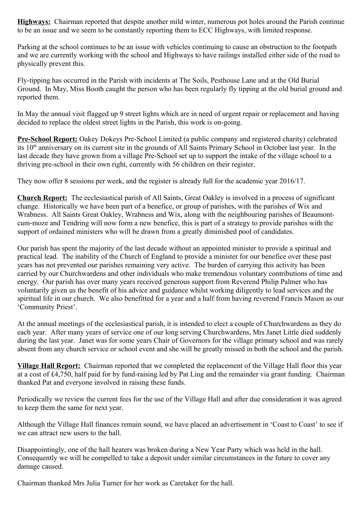**Highways:** Chairman reported that despite another mild winter, numerous pot holes around the Parish continue to be an issue and we seem to be constantly reporting them to ECC Highways, with limited response.

Parking at the school continues to be an issue with vehicles continuing to cause an obstruction to the footpath and we are currently working with the school and Highways to have railings installed either side of the road to physically prevent this.

Fly-tipping has occurred in the Parish with incidents at The Soils, Pesthouse Lane and at the Old Burial Ground. In May, Miss Booth caught the person who has been regularly fly tipping at the old burial ground and reported them.

In May the annual visit flagged up 9 street lights which are in need of urgent repair or replacement and having decided to replace the oldest street lights in the Parish, this work is on-going.

**Pre-School Report:** Oakey Dokeys Pre-School Limited (a public company and registered charity) celebrated its 10<sup>th</sup> anniversary on its current site in the grounds of All Saints Primary School in October last year. In the last decade they have grown from a village Pre-School set up to support the intake of the village school to a thriving pre-school in their own right, currently with 56 children on their register.

They now offer 8 sessions per week, and the register is already full for the academic year 2016/17.

**Church Report:** The ecclesiastical parish of All Saints, Great Oakley is involved in a process of significant change. Historically we have been part of a benefice, or group of parishes, with the parishes of Wix and Wrabness. All Saints Great Oakley, Wrabness and Wix, along with the neighbouring parishes of Beaumontcum-moze and Tendring will now form a new benefice, this is part of a strategy to provide parishes with the support of ordained ministers who will be drawn from a greatly diminished pool of candidates.

Our parish has spent the majority of the last decade without an appointed minister to provide a spiritual and practical lead. The inability of the Church of England to provide a minister for our benefice over these past years has not prevented our parishes remaining very active. The burden of carrying this activity has been carried by our Churchwardens and other individuals who make tremendous voluntary contributions of time and energy. Our parish has over many years received generous support from Reverend Philip Palmer who has voluntarily given us the benefit of his advice and guidance whilst working diligently to lead services and the spiritual life in our church. We also benefitted for a year and a half from having reverend Francis Mason as our 'Community Priest'.

At the annual meetings of the ecclesiastical parish, it is intended to elect a couple of Churchwardens as they do each year. After many years of service one of our long serving Churchwardens, Mrs Janet Little died suddenly during the last year. Janet was for some years Chair of Governors for the village primary school and was rarely absent from any church service or school event and she will be greatly missed in both the school and the parish.

**Village Hall Report:** Chairman reported that we completed the replacement of the Village Hall floor this year at a cost of £4,750, half paid for by fund-raising led by Pat Ling and the remainder via grant funding. Chairman thanked Pat and everyone involved in raising these funds.

Periodically we review the current fees for the use of the Village Hall and after due consideration it was agreed to keep them the same for next year.

Although the Village Hall finances remain sound, we have placed an advertisement in 'Coast to Coast' to see if we can attract new users to the hall.

Disappointingly, one of the hall heaters was broken during a New Year Party which was held in the hall. Consequently we will be compelled to take a deposit under similar circumstances in the future to cover any damage caused.

Chairman thanked Mrs Julia Turner for her work as Caretaker for the hall.